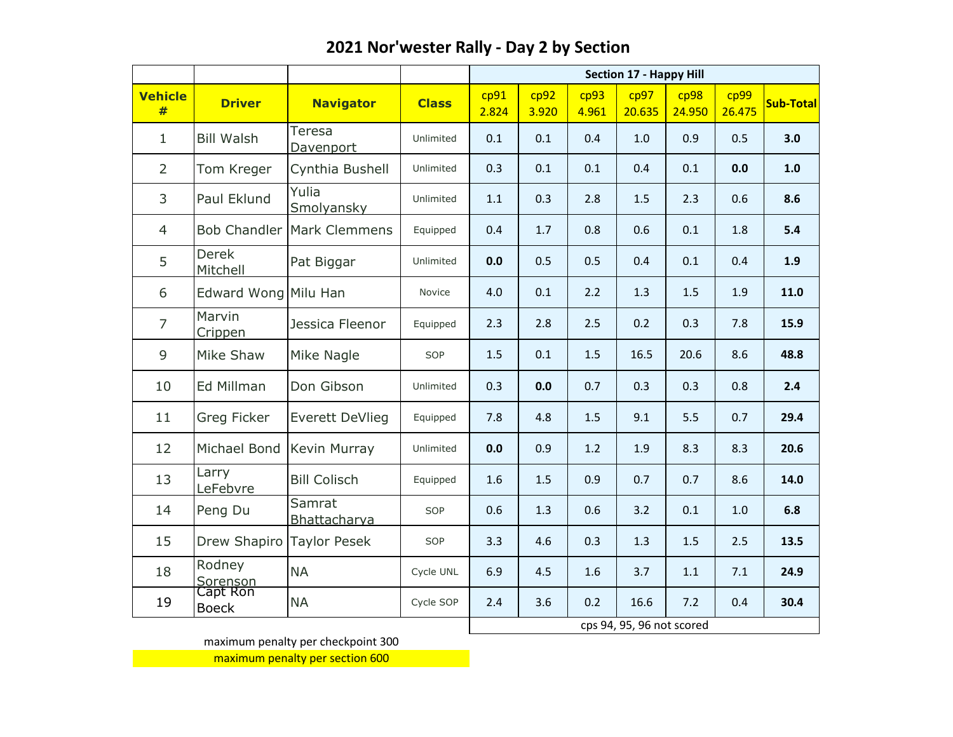|                     |                           |                            |              | <b>Section 17 - Happy Hill</b> |               |               |                           |                |                |                  |  |
|---------------------|---------------------------|----------------------------|--------------|--------------------------------|---------------|---------------|---------------------------|----------------|----------------|------------------|--|
| <b>Vehicle</b><br># | <b>Driver</b>             | <b>Navigator</b>           | <b>Class</b> | cp91<br>2.824                  | cp92<br>3.920 | cp93<br>4.961 | cp97<br>20.635            | cp98<br>24.950 | cp99<br>26.475 | <b>Sub-Total</b> |  |
| $\mathbf{1}$        | <b>Bill Walsh</b>         | Teresa<br>Davenport        | Unlimited    | 0.1                            | 0.1           | 0.4           | 1.0                       | 0.9            | 0.5            | 3.0              |  |
| $\overline{2}$      | Tom Kreger                | Cynthia Bushell            | Unlimited    | 0.3                            | 0.1           | 0.1           | 0.4                       | 0.1            | 0.0            | 1.0              |  |
| 3                   | Paul Eklund               | Yulia<br>Smolyansky        | Unlimited    | 1.1                            | 0.3           | 2.8           | 1.5                       | 2.3            | 0.6            | 8.6              |  |
| 4                   |                           | Bob Chandler Mark Clemmens | Equipped     | 0.4                            | 1.7           | 0.8           | 0.6                       | 0.1            | 1.8            | 5.4              |  |
| 5                   | <b>Derek</b><br>Mitchell  | Pat Biggar                 | Unlimited    | 0.0                            | 0.5           | 0.5           | 0.4                       | 0.1            | 0.4            | 1.9              |  |
| 6                   | Edward Wong Milu Han      |                            | Novice       | 4.0                            | 0.1           | 2.2           | 1.3                       | 1.5            | 1.9            | 11.0             |  |
| $\overline{7}$      | Marvin<br>Crippen         | Jessica Fleenor            | Equipped     | 2.3                            | 2.8           | 2.5           | 0.2                       | 0.3            | 7.8            | 15.9             |  |
| $\overline{9}$      | Mike Shaw                 | Mike Nagle                 | SOP          | 1.5                            | 0.1           | 1.5           | 16.5                      | 20.6           | 8.6            | 48.8             |  |
| 10                  | Ed Millman                | Don Gibson                 | Unlimited    | 0.3                            | 0.0           | 0.7           | 0.3                       | 0.3            | 0.8            | 2.4              |  |
| 11                  | Greg Ficker               | <b>Everett DeVlieg</b>     | Equipped     | 7.8                            | 4.8           | 1.5           | 9.1                       | 5.5            | 0.7            | 29.4             |  |
| 12                  | Michael Bond              | Kevin Murray               | Unlimited    | 0.0                            | 0.9           | 1.2           | 1.9                       | 8.3            | 8.3            | 20.6             |  |
| 13                  | Larry<br>LeFebvre         | <b>Bill Colisch</b>        | Equipped     | 1.6                            | 1.5           | 0.9           | 0.7                       | 0.7            | 8.6            | 14.0             |  |
| 14                  | Peng Du                   | Samrat<br>Bhattacharya     | SOP          | 0.6                            | 1.3           | 0.6           | 3.2                       | 0.1            | 1.0            | 6.8              |  |
| 15                  | Drew Shapiro Taylor Pesek |                            | SOP          | 3.3                            | 4.6           | 0.3           | 1.3                       | 1.5            | 2.5            | 13.5             |  |
| 18                  | Rodney<br>Sorenson        | <b>NA</b>                  | Cycle UNL    | 6.9                            | 4.5           | 1.6           | 3.7                       | 1.1            | 7.1            | 24.9             |  |
| 19                  | Capt Ron<br><b>Boeck</b>  | <b>NA</b>                  | Cycle SOP    | 2.4                            | 3.6           | 0.2           | 16.6                      | 7.2            | 0.4            | 30.4             |  |
|                     |                           |                            |              |                                |               |               | cps 94, 95, 96 not scored |                |                |                  |  |

maximum penalty per checkpoint 300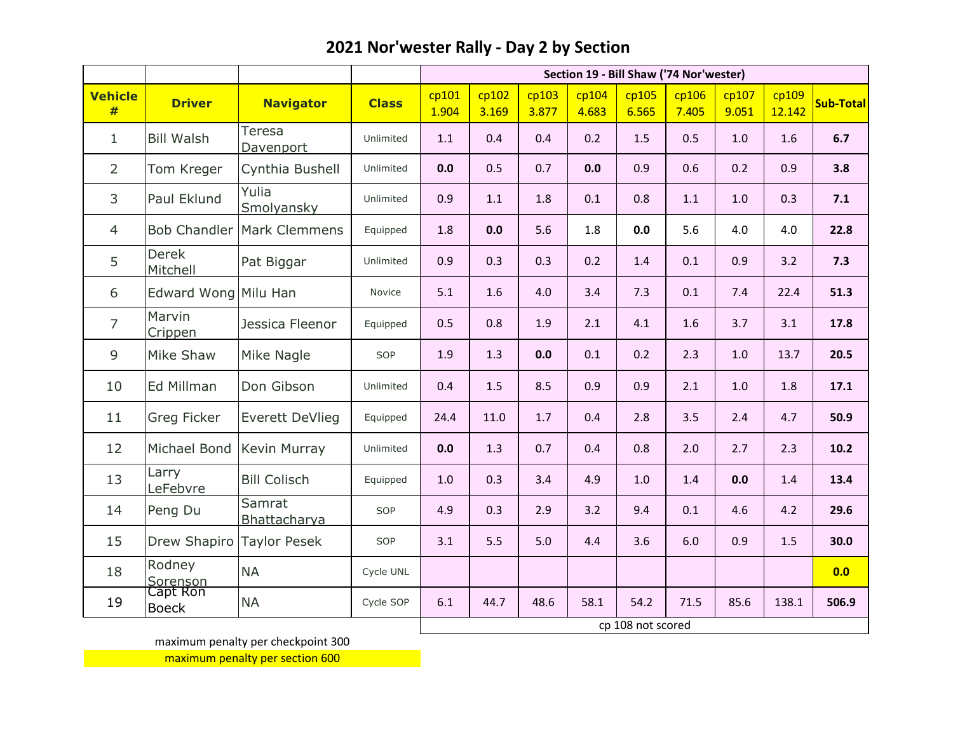|                     |                          |                        |              | Section 19 - Bill Shaw ('74 Nor'wester) |                   |                |                |                |                |                |                 |                  |  |
|---------------------|--------------------------|------------------------|--------------|-----------------------------------------|-------------------|----------------|----------------|----------------|----------------|----------------|-----------------|------------------|--|
| <b>Vehicle</b><br># | <b>Driver</b>            | <b>Navigator</b>       | <b>Class</b> | cp101<br>1.904                          | cp102<br>3.169    | cp103<br>3.877 | cp104<br>4.683 | cp105<br>6.565 | cp106<br>7.405 | cp107<br>9.051 | cp109<br>12.142 | <b>Sub-Total</b> |  |
| $\mathbf{1}$        | <b>Bill Walsh</b>        | Teresa<br>Davenport    | Unlimited    | 1.1                                     | 0.4               | 0.4            | 0.2            | 1.5            | 0.5            | 1.0            | 1.6             | 6.7              |  |
| $\overline{2}$      | Tom Kreger               | Cynthia Bushell        | Unlimited    | 0.0                                     | 0.5               | 0.7            | 0.0            | 0.9            | 0.6            | 0.2            | 0.9             | 3.8              |  |
| 3                   | Paul Eklund              | Yulia<br>Smolyansky    | Unlimited    | 0.9                                     | 1.1               | 1.8            | 0.1            | 0.8            | 1.1            | 1.0            | 0.3             | 7.1              |  |
| $\overline{4}$      | <b>Bob Chandler</b>      | Mark Clemmens          | Equipped     | 1.8                                     | 0.0               | 5.6            | 1.8            | 0.0            | 5.6            | 4.0            | 4.0             | 22.8             |  |
| 5                   | <b>Derek</b><br>Mitchell | Pat Biggar             |              | 0.9                                     | 0.3               | 0.3            | 0.2            | 1.4            | 0.1            | 0.9            | 3.2             | 7.3              |  |
| 6                   | Edward Wong Milu Han     |                        | Novice       | 5.1                                     | 1.6               | 4.0            | 3.4            | 7.3            | 0.1            | 7.4            | 22.4            | 51.3             |  |
| $\overline{7}$      | Marvin<br>Crippen        | Jessica Fleenor        | Equipped     | 0.5                                     | 0.8               | 1.9            | 2.1            | 4.1            | 1.6            | 3.7            | 3.1             | 17.8             |  |
| 9                   | Mike Shaw                | Mike Nagle             | SOP          | 1.9                                     | 1.3               | 0.0            | 0.1            | 0.2            | 2.3            | 1.0            | 13.7            | 20.5             |  |
| 10                  | Ed Millman               | Don Gibson             | Unlimited    | 0.4                                     | 1.5               | 8.5            | 0.9            | 0.9            | 2.1            | $1.0\,$        | 1.8             | 17.1             |  |
| 11                  | <b>Greg Ficker</b>       | <b>Everett DeVlieg</b> | Equipped     | 24.4                                    | 11.0              | 1.7            | 0.4            | 2.8            | 3.5            | 2.4            | 4.7             | 50.9             |  |
| 12                  | Michael Bond             | Kevin Murray           | Unlimited    | 0.0                                     | 1.3               | 0.7            | 0.4            | 0.8            | 2.0            | 2.7            | 2.3             | 10.2             |  |
| 13                  | Larry<br>LeFebvre        | <b>Bill Colisch</b>    | Equipped     | 1.0                                     | 0.3               | 3.4            | 4.9            | 1.0            | 1.4            | 0.0            | 1.4             | 13.4             |  |
| 14                  | Peng Du                  | Samrat<br>Bhattacharya | SOP          | 4.9                                     | 0.3               | 2.9            | 3.2            | 9.4            | 0.1            | 4.6            | 4.2             | 29.6             |  |
| 15                  | Drew Shapiro             | <b>Taylor Pesek</b>    | SOP          | 3.1                                     | 5.5               | 5.0            | 4.4            | 3.6            | 6.0            | 0.9            | 1.5             | 30.0             |  |
| 18                  | Rodney<br>Sorenson       | <b>NA</b>              | Cycle UNL    |                                         |                   |                |                |                |                |                |                 | 0.0              |  |
| 19                  | Capt Ron<br><b>Boeck</b> | <b>NA</b>              | Cycle SOP    | 6.1                                     | 44.7              | 48.6           | 58.1           | 54.2           | 71.5           | 85.6           | 138.1           | 506.9            |  |
|                     |                          |                        |              |                                         | cp 108 not scored |                |                |                |                |                |                 |                  |  |

maximum penalty per checkpoint 300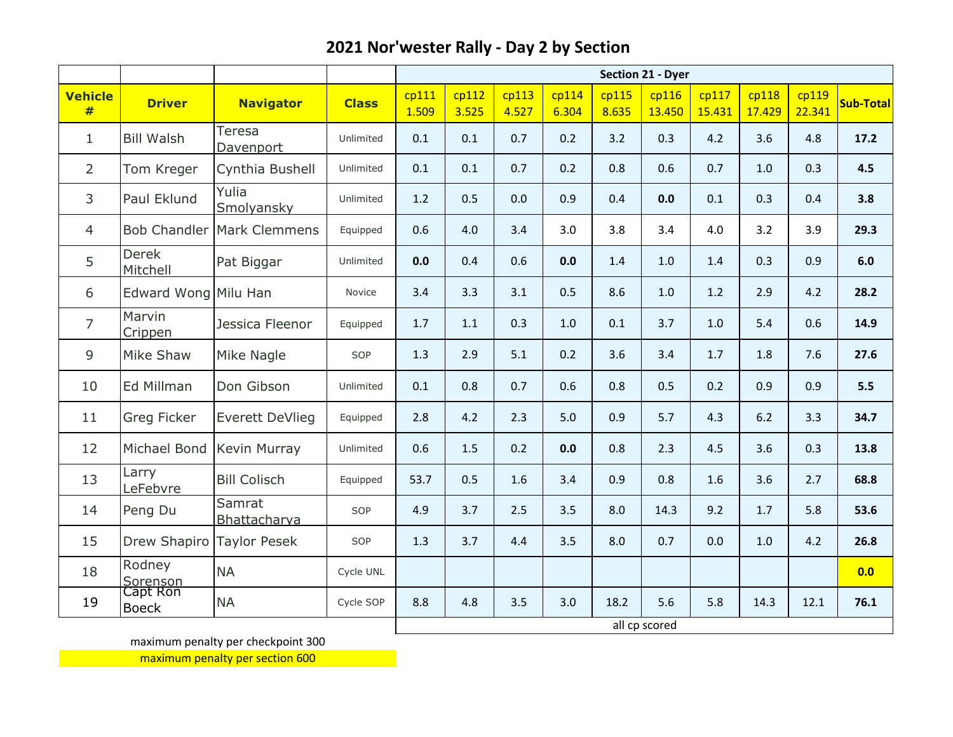|                     |                           |                           |              | <b>Section 21 - Dyer</b> |                |                |                |                |                 |                 |                 |                 |           |
|---------------------|---------------------------|---------------------------|--------------|--------------------------|----------------|----------------|----------------|----------------|-----------------|-----------------|-----------------|-----------------|-----------|
| <b>Vehicle</b><br># | <b>Driver</b>             | <b>Navigator</b>          | <b>Class</b> | cp111<br>1.509           | cp112<br>3.525 | cp113<br>4.527 | cp114<br>6.304 | cp115<br>8.635 | cp116<br>13.450 | cp117<br>15.431 | cp118<br>17.429 | cp119<br>22.341 | Sub-Total |
| $\mathbf{1}$        | <b>Bill Walsh</b>         | Teresa<br>Davenport       | Unlimited    | 0.1                      | 0.1            | 0.7            | 0.2            | 3.2            | 0.3             | 4.2             | 3.6             | 4.8             | 17.2      |
| $\overline{2}$      | Tom Kreger                | Cynthia Bushell           | Unlimited    | 0.1                      | 0.1            | 0.7            | 0.2            | 0.8            | 0.6             | 0.7             | 1.0             | 0.3             | 4.5       |
| 3                   | Paul Eklund               | Yulia<br>Smolyansky       | Unlimited    | 1.2                      | 0.5            | 0.0            | 0.9            | 0.4            | 0.0             | 0.1             | 0.3             | 0.4             | 3.8       |
| $\overline{4}$      | <b>Bob Chandler</b>       | Mark Clemmens             | Equipped     | 0.6                      | 4.0            | 3.4            | 3.0            | 3.8            | 3.4             | 4.0             | 3.2             | 3.9             | 29.3      |
| 5                   | <b>Derek</b><br>Mitchell  | Pat Biggar                | Unlimited    | 0.0                      | 0.4            | 0.6            | 0.0            | 1.4            | $1.0\,$         | 1.4             | 0.3             | 0.9             | 6.0       |
| 6                   | Edward Wong Milu Han      |                           | Novice       | 3.4                      | 3.3            | 3.1            | 0.5            | 8.6            | 1.0             | 1.2             | 2.9             | 4.2             | 28.2      |
| $\overline{7}$      | Marvin<br>Crippen         | Jessica Fleenor           | Equipped     | 1.7                      | 1.1            | 0.3            | 1.0            | 0.1            | 3.7             | 1.0             | 5.4             | 0.6             | 14.9      |
| 9                   | Mike Shaw                 | Mike Nagle                | SOP          | 1.3                      | 2.9            | 5.1            | 0.2            | 3.6            | 3.4             | 1.7             | 1.8             | 7.6             | 27.6      |
| 10                  | Ed Millman                | Don Gibson                | Unlimited    | 0.1                      | 0.8            | 0.7            | 0.6            | 0.8            | 0.5             | 0.2             | 0.9             | 0.9             | 5.5       |
| 11                  | Greg Ficker               | <b>Everett DeVlieg</b>    | Equipped     | 2.8                      | 4.2            | 2.3            | 5.0            | 0.9            | 5.7             | 4.3             | 6.2             | 3.3             | 34.7      |
| 12                  |                           | Michael Bond Kevin Murray | Unlimited    | 0.6                      | 1.5            | 0.2            | 0.0            | 0.8            | 2.3             | 4.5             | 3.6             | 0.3             | 13.8      |
| 13                  | Larry<br>LeFebvre         | <b>Bill Colisch</b>       | Equipped     | 53.7                     | 0.5            | 1.6            | 3.4            | 0.9            | 0.8             | 1.6             | 3.6             | 2.7             | 68.8      |
| 14                  | Peng Du                   | Samrat<br>Bhattacharya    | SOP          | 4.9                      | 3.7            | 2.5            | 3.5            | 8.0            | 14.3            | 9.2             | 1.7             | 5.8             | 53.6      |
| 15                  | Drew Shapiro Taylor Pesek |                           | SOP          | 1.3                      | 3.7            | 4.4            | 3.5            | 8.0            | 0.7             | 0.0             | 1.0             | 4.2             | 26.8      |
| 18                  | Rodney<br>Sorenson        | <b>NA</b>                 | Cycle UNL    |                          |                |                |                |                |                 |                 |                 |                 | 0.0       |
| 19                  | Capt Ron<br><b>Boeck</b>  | <b>NA</b>                 | Cycle SOP    | 8.8                      | 4.8            | 3.5            | 3.0            | 18.2           | 5.6             | 5.8             | 14.3            | 12.1            | 76.1      |
|                     |                           |                           |              |                          |                |                |                |                | all cp scored   |                 |                 |                 |           |

maximum penalty per checkpoint 300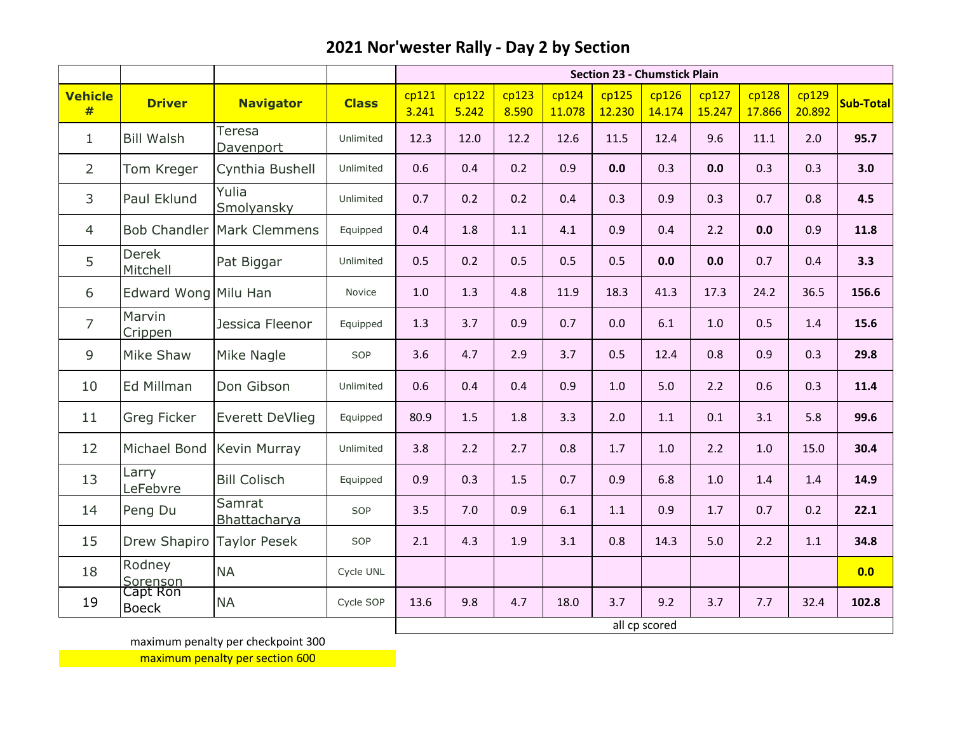|                     |                           |                                   |              | <b>Section 23 - Chumstick Plain</b> |                |                |                 |                 |                 |                 |                 |                 |           |
|---------------------|---------------------------|-----------------------------------|--------------|-------------------------------------|----------------|----------------|-----------------|-----------------|-----------------|-----------------|-----------------|-----------------|-----------|
| <b>Vehicle</b><br># | <b>Driver</b>             | <b>Navigator</b>                  | <b>Class</b> | cp121<br>3.241                      | cp122<br>5.242 | cp123<br>8.590 | cp124<br>11.078 | cp125<br>12.230 | cp126<br>14.174 | cp127<br>15.247 | cp128<br>17.866 | cp129<br>20.892 | Sub-Total |
| $\mathbf{1}$        | <b>Bill Walsh</b>         | Teresa<br>Davenport               | Unlimited    | 12.3                                | 12.0           | 12.2           | 12.6            | 11.5            | 12.4            | 9.6             | 11.1            | 2.0             | 95.7      |
| $\overline{2}$      | Tom Kreger                | Cynthia Bushell                   | Unlimited    | 0.6                                 | 0.4            | 0.2            | 0.9             | 0.0             | 0.3             | 0.0             | 0.3             | 0.3             | 3.0       |
| 3                   | Paul Eklund               | Yulia<br>Smolyansky               | Unlimited    | 0.7                                 | 0.2            | 0.2            | 0.4             | 0.3             | 0.9             | 0.3             | 0.7             | 0.8             | 4.5       |
| $\overline{4}$      |                           | <b>Bob Chandler Mark Clemmens</b> | Equipped     | 0.4                                 | 1.8            | 1.1            | 4.1             | 0.9             | 0.4             | 2.2             | 0.0             | 0.9             | 11.8      |
| 5                   | <b>Derek</b><br>Mitchell  | Pat Biggar                        | Unlimited    | 0.5                                 | 0.2            | 0.5            | 0.5             | 0.5             | 0.0             | 0.0             | 0.7             | 0.4             | 3.3       |
| 6                   | Edward Wong Milu Han      |                                   | Novice       | 1.0                                 | 1.3            | 4.8            | 11.9            | 18.3            | 41.3            | 17.3            | 24.2            | 36.5            | 156.6     |
| $\overline{7}$      | Marvin<br>Crippen         | Jessica Fleenor                   | Equipped     | 1.3                                 | 3.7            | 0.9            | 0.7             | 0.0             | 6.1             | 1.0             | 0.5             | 1.4             | 15.6      |
| 9                   | Mike Shaw                 | Mike Nagle                        | SOP          | 3.6                                 | 4.7            | 2.9            | 3.7             | 0.5             | 12.4            | 0.8             | 0.9             | 0.3             | 29.8      |
| 10                  | Ed Millman                | Don Gibson                        | Unlimited    | 0.6                                 | 0.4            | 0.4            | 0.9             | 1.0             | 5.0             | 2.2             | 0.6             | 0.3             | 11.4      |
| 11                  | Greg Ficker               | <b>Everett DeVlieg</b>            | Equipped     | 80.9                                | 1.5            | 1.8            | 3.3             | 2.0             | 1.1             | 0.1             | 3.1             | 5.8             | 99.6      |
| 12                  | Michael Bond Kevin Murray |                                   | Unlimited    | 3.8                                 | 2.2            | 2.7            | 0.8             | 1.7             | 1.0             | 2.2             | 1.0             | 15.0            | 30.4      |
| 13                  | Larry<br>LeFebvre         | <b>Bill Colisch</b>               | Equipped     | 0.9                                 | 0.3            | 1.5            | 0.7             | 0.9             | 6.8             | 1.0             | 1.4             | 1.4             | 14.9      |
| 14                  | Peng Du                   | Samrat<br>Bhattacharya            | SOP          | 3.5                                 | 7.0            | 0.9            | 6.1             | $1.1\,$         | 0.9             | 1.7             | 0.7             | 0.2             | 22.1      |
| 15                  | Drew Shapiro Taylor Pesek |                                   | SOP          | 2.1                                 | 4.3            | 1.9            | 3.1             | 0.8             | 14.3            | 5.0             | 2.2             | 1.1             | 34.8      |
| 18                  | Rodney<br>Sorenson        | <b>NA</b>                         | Cycle UNL    |                                     |                |                |                 |                 |                 |                 |                 |                 | 0.0       |
| 19                  | Capt Ron<br><b>Boeck</b>  | <b>NA</b>                         | Cycle SOP    | 13.6                                | 9.8            | 4.7            | 18.0            | 3.7             | 9.2             | 3.7             | 7.7             | 32.4            | 102.8     |
|                     |                           |                                   |              |                                     |                |                |                 |                 | all cp scored   |                 |                 |                 |           |

maximum penalty per checkpoint 300